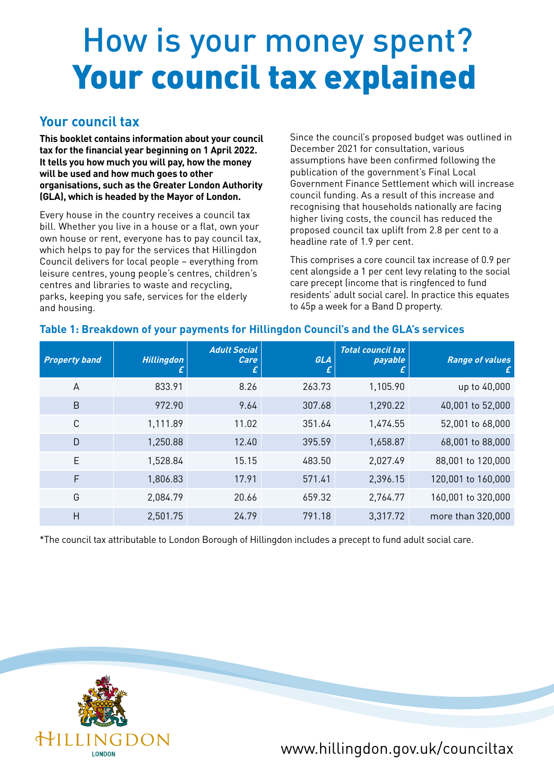# How is your money spent? Your council tax explained

### **Your council tax**

**This booklet contains information about your council tax for the financial year beginning on 1 April 2022. It tells you how much you will pay, how the money will be used and how much goes to other organisations, such as the Greater London Authority (GLA), which is headed by the Mayor of London.**

Every house in the country receives a council tax bill. Whether you live in a house or a flat, own your own house or rent, everyone has to pay council tax, which helps to pay for the services that Hillingdon Council delivers for local people – everything from leisure centres, young people's centres, children's centres and libraries to waste and recycling, parks, keeping you safe, services for the elderly and housing.

Since the council's proposed budget was outlined in December 2021 for consultation, various assumptions have been confirmed following the publication of the government's Final Local Government Finance Settlement which will increase council funding. As a result of this increase and recognising that households nationally are facing higher living costs, the council has reduced the proposed council tax uplift from 2.8 per cent to a headline rate of 1.9 per cent.

This comprises a core council tax increase of 0.9 per cent alongside a 1 per cent levy relating to the social care precept (income that is ringfenced to fund residents' adult social care). In practice this equates to 45p a week for a Band D property.

#### **Table 1: Breakdown of your payments for Hillingdon Council's and the GLA's services**

| <b>Property band</b> | <b>Hillingdon</b><br>£ | <b>Adult Social</b><br>Care<br>£ | GLA<br>t. | <b>Total council tax</b><br>payable | <b>Range of values</b> |
|----------------------|------------------------|----------------------------------|-----------|-------------------------------------|------------------------|
| A                    | 833.91                 | 8.26                             | 263.73    | 1,105.90                            | up to 40,000           |
| B                    | 972.90                 | 9.64                             | 307.68    | 1,290.22                            | 40,001 to 52,000       |
| $\mathsf{C}$         | 1,111.89               | 11.02                            | 351.64    | 1,474.55                            | 52,001 to 68,000       |
| D                    | 1,250.88               | 12.40                            | 395.59    | 1,658.87                            | 68,001 to 88,000       |
| E                    | 1,528.84               | 15.15                            | 483.50    | 2,027.49                            | 88,001 to 120,000      |
| F                    | 1,806.83               | 17.91                            | 571.41    | 2,396.15                            | 120,001 to 160,000     |
| G                    | 2,084.79               | 20.66                            | 659.32    | 2,764.77                            | 160,001 to 320,000     |
| Н                    | 2,501.75               | 24.79                            | 791.18    | 3,317.72                            | more than 320,000      |

\*The council tax attributable to London Borough of Hillingdon includes a precept to fund adult social care.



www.hillingdon.gov.uk/counciltax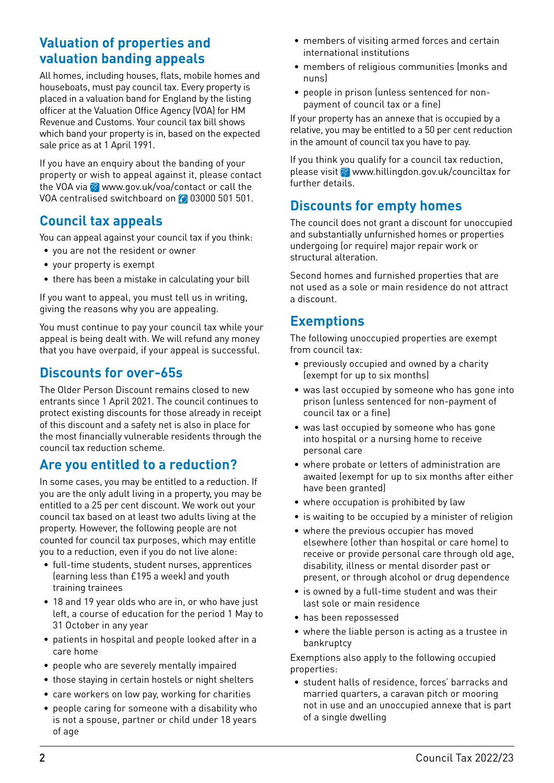## **Valuation of properties and valuation banding appeals**

All homes, including houses, flats, mobile homes and houseboats, must pay council tax. Every property is placed in a valuation band for England by the listing officer at the Valuation Office Agency (VOA) for HM Revenue and Customs. Your council tax bill shows which band your property is in, based on the expected sale price as at 1 April 1991.

If you have an enquiry about the banding of your property or wish to appeal against it, please contact the VOA via www.gov.uk/voa/contact or call the VOA centralised switchboard on 0 03000 501 501.

## **Council tax appeals**

You can appeal against your council tax if you think:

- you are not the resident or owner
- your property is exempt
- there has been a mistake in calculating your bill

If you want to appeal, you must tell us in writing, giving the reasons why you are appealing.

You must continue to pay your council tax while your appeal is being dealt with. We will refund any money that you have overpaid, if your appeal is successful.

## **Discounts for over-65s**

The Older Person Discount remains closed to new entrants since 1 April 2021. The council continues to protect existing discounts for those already in receipt of this discount and a safety net is also in place for the most financially vulnerable residents through the council tax reduction scheme.

## **Are you entitled to a reduction?**

In some cases, you may be entitled to a reduction. If you are the only adult living in a property, you may be entitled to a 25 per cent discount. We work out your council tax based on at least two adults living at the property. However, the following people are not counted for council tax purposes, which may entitle you to a reduction, even if you do not live alone:

- full-time students, student nurses, apprentices (earning less than £195 a week) and youth training trainees
- 18 and 19 year olds who are in, or who have just left, a course of education for the period 1 May to 31 October in any year
- patients in hospital and people looked after in a care home
- people who are severely mentally impaired
- those staying in certain hostels or night shelters
- care workers on low pay, working for charities
- people caring for someone with a disability who is not a spouse, partner or child under 18 years of age
- members of visiting armed forces and certain international institutions
- members of religious communities (monks and nuns)
- people in prison (unless sentenced for nonpayment of council tax or a fine)

If your property has an annexe that is occupied by a relative, you may be entitled to a 50 per cent reduction in the amount of council tax you have to pay.

If you think you qualify for a council tax reduction, please visit  $\otimes$  www.hillingdon.gov.uk/counciltax for further details.

## **Discounts for empty homes**

The council does not grant a discount for unoccupied and substantially unfurnished homes or properties undergoing (or require) major repair work or structural alteration.

Second homes and furnished properties that are not used as a sole or main residence do not attract a discount.

### **Exemptions**

The following unoccupied properties are exempt from council tax:

- previously occupied and owned by a charity (exempt for up to six months)
- was last occupied by someone who has gone into prison (unless sentenced for non-payment of council tax or a fine)
- was last occupied by someone who has gone into hospital or a nursing home to receive personal care
- where probate or letters of administration are awaited (exempt for up to six months after either have been granted)
- where occupation is prohibited by law
- is waiting to be occupied by a minister of religion
- where the previous occupier has moved elsewhere (other than hospital or care home) to receive or provide personal care through old age, disability, illness or mental disorder past or present, or through alcohol or drug dependence
- is owned by a full-time student and was their last sole or main residence
- has been repossessed
- where the liable person is acting as a trustee in bankruptcy

Exemptions also apply to the following occupied properties:

• student halls of residence, forces' barracks and married quarters, a caravan pitch or mooring not in use and an unoccupied annexe that is part of a single dwelling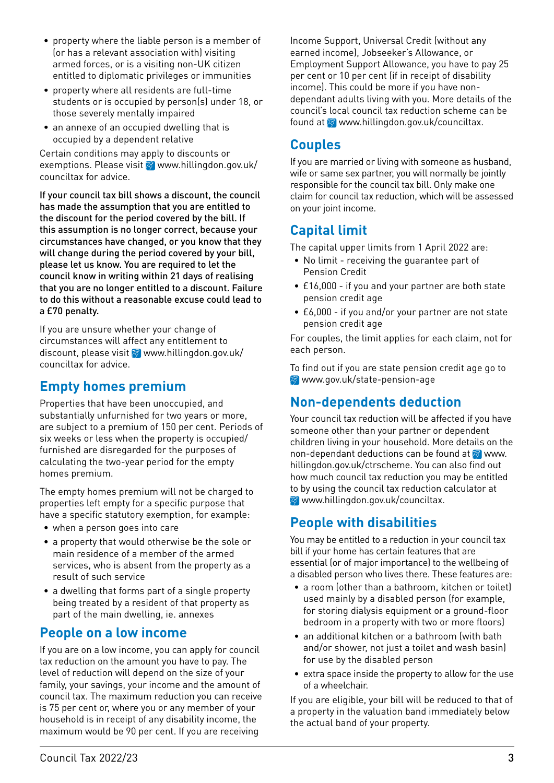- property where the liable person is a member of (or has a relevant association with) visiting armed forces, or is a visiting non-UK citizen entitled to diplomatic privileges or immunities
- property where all residents are full-time students or is occupied by person(s) under 18, or those severely mentally impaired
- an annexe of an occupied dwelling that is occupied by a dependent relative

Certain conditions may apply to discounts or exemptions. Please visit  $\otimes$  www.hillingdon.gov.uk/ counciltax for advice.

If your council tax bill shows a discount, the council has made the assumption that you are entitled to the discount for the period covered by the bill. If this assumption is no longer correct, because your circumstances have changed, or you know that they will change during the period covered by your bill, please let us know. You are required to let the council know in writing within 21 days of realising that you are no longer entitled to a discount. Failure to do this without a reasonable excuse could lead to a £70 penalty.

If you are unsure whether your change of circumstances will affect any entitlement to discount, please visit  $\otimes$  www.hillingdon.gov.uk/ counciltax for advice.

## **Empty homes premium**

Properties that have been unoccupied, and substantially unfurnished for two years or more, are subject to a premium of 150 per cent. Periods of six weeks or less when the property is occupied/ furnished are disregarded for the purposes of calculating the two-year period for the empty homes premium.

The empty homes premium will not be charged to properties left empty for a specific purpose that have a specific statutory exemption, for example:

- when a person goes into care
- a property that would otherwise be the sole or main residence of a member of the armed services, who is absent from the property as a result of such service
- a dwelling that forms part of a single property being treated by a resident of that property as part of the main dwelling, ie. annexes

## **People on a low income**

If you are on a low income, you can apply for council tax reduction on the amount you have to pay. The level of reduction will depend on the size of your family, your savings, your income and the amount of council tax. The maximum reduction you can receive is 75 per cent or, where you or any member of your household is in receipt of any disability income, the maximum would be 90 per cent. If you are receiving

Income Support, Universal Credit (without any earned income), Jobseeker's Allowance, or Employment Support Allowance, you have to pay 25 per cent or 10 per cent (if in receipt of disability income). This could be more if you have nondependant adults living with you. More details of the council's local council tax reduction scheme can be found at  $\otimes$  www.hillingdon.gov.uk/counciltax.

### **Couples**

If you are married or living with someone as husband, wife or same sex partner, you will normally be jointly responsible for the council tax bill. Only make one claim for council tax reduction, which will be assessed on your joint income.

## **Capital limit**

The capital upper limits from 1 April 2022 are:

- No limit receiving the guarantee part of Pension Credit
- £16,000 if you and your partner are both state pension credit age
- £6,000 if you and/or your partner are not state pension credit age

For couples, the limit applies for each claim, not for each person.

To find out if you are state pension credit age go to www.gov.uk/state-pension-age

## **Non-dependents deduction**

Your council tax reduction will be affected if you have someone other than your partner or dependent children living in your household. More details on the non-dependant deductions can be found at  $\otimes$  www. hillingdon.gov.uk/ctrscheme. You can also find out how much council tax reduction you may be entitled to by using the council tax reduction calculator at **<sup>⊗</sup>www.hillingdon.gov.uk/counciltax.** 

## **People with disabilities**

You may be entitled to a reduction in your council tax bill if your home has certain features that are essential (or of major importance) to the wellbeing of a disabled person who lives there. These features are:

- a room (other than a bathroom, kitchen or toilet) used mainly by a disabled person (for example, for storing dialysis equipment or a ground-floor bedroom in a property with two or more floors)
- an additional kitchen or a bathroom (with bath and/or shower, not just a toilet and wash basin) for use by the disabled person
- extra space inside the property to allow for the use of a wheelchair.

If you are eligible, your bill will be reduced to that of a property in the valuation band immediately below the actual band of your property.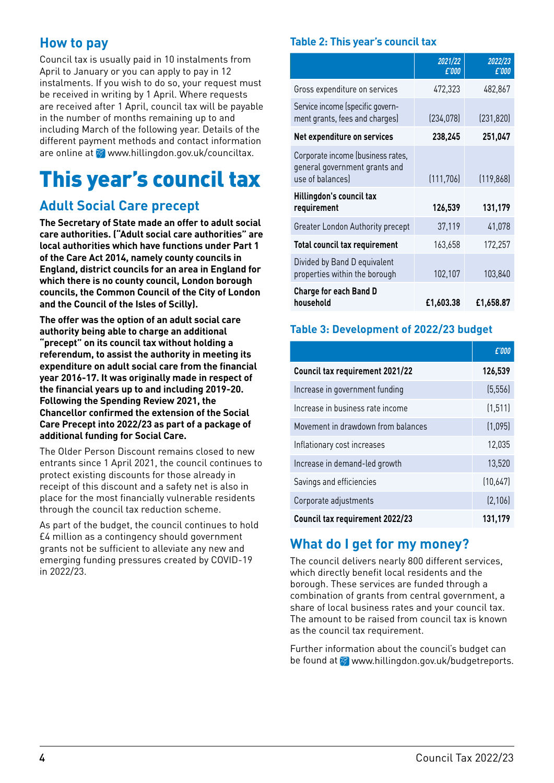## **How to pay**

Council tax is usually paid in 10 instalments from April to January or you can apply to pay in 12 instalments. If you wish to do so, your request must be received in writing by 1 April. Where requests are received after 1 April, council tax will be payable in the number of months remaining up to and including March of the following year. Details of the different payment methods and contact information are online at  $\otimes$  www.hillingdon.gov.uk/counciltax.

## This year's council tax

## **Adult Social Care precept**

**The Secretary of State made an offer to adult social care authorities. ("Adult social care authorities" are local authorities which have functions under Part 1 of the Care Act 2014, namely county councils in England, district councils for an area in England for which there is no county council, London borough councils, the Common Council of the City of London and the Council of the Isles of Scilly).**

**The offer was the option of an adult social care authority being able to charge an additional "precept" on its council tax without holding a referendum, to assist the authority in meeting its expenditure on adult social care from the financial year 2016-17. It was originally made in respect of the financial years up to and including 2019-20. Following the Spending Review 2021, the Chancellor confirmed the extension of the Social Care Precept into 2022/23 as part of a package of additional funding for Social Care.**

The Older Person Discount remains closed to new entrants since 1 April 2021, the council continues to protect existing discounts for those already in receipt of this discount and a safety net is also in place for the most financially vulnerable residents through the council tax reduction scheme.

As part of the budget, the council continues to hold £4 million as a contingency should government grants not be sufficient to alleviate any new and emerging funding pressures created by COVID-19 in 2022/23.

#### **Table 2: This year's council tax**

|                                                                                        | 2021/22<br>£'000 | 2022/23<br>£'000 |
|----------------------------------------------------------------------------------------|------------------|------------------|
| Gross expenditure on services                                                          | 472,323          | 482,867          |
| Service income (specific govern-<br>ment grants, fees and charges)                     | (234, 078)       | (231, 820)       |
| Net expenditure on services                                                            | 238,245          | 251,047          |
| Corporate income (business rates,<br>general government grants and<br>use of balances) | (111, 706)       | (119, 868)       |
| <b>Hillingdon's council tax</b><br>requirement                                         | 126,539          | 131,179          |
| Greater London Authority precept                                                       | 37,119           | 41,078           |
| <b>Total council tax requirement</b>                                                   | 163,658          | 172,257          |
| Divided by Band D equivalent<br>properties within the borough                          | 102,107          | 103,840          |
| <b>Charge for each Band D</b><br>household                                             | £1,603.38        | £1,658.87        |

#### **Table 3: Development of 2022/23 budget**

|                                    | £'000    |
|------------------------------------|----------|
| Council tax requirement 2021/22    | 126,539  |
| Increase in government funding     | (5, 556) |
| Increase in business rate income   | (1, 511) |
| Movement in drawdown from balances | (1,095)  |
| Inflationary cost increases        | 12,035   |
| Increase in demand-led growth      | 13,520   |
| Savings and efficiencies           | (10,647) |
| Corporate adjustments              | (2, 106) |
| Council tax requirement 2022/23    | 131,179  |

## **What do I get for my money?**

The council delivers nearly 800 different services, which directly benefit local residents and the borough. These services are funded through a combination of grants from central government, a share of local business rates and your council tax. The amount to be raised from council tax is known as the council tax requirement.

Further information about the council's budget can be found at **M** www.hillingdon.gov.uk/budgetreports.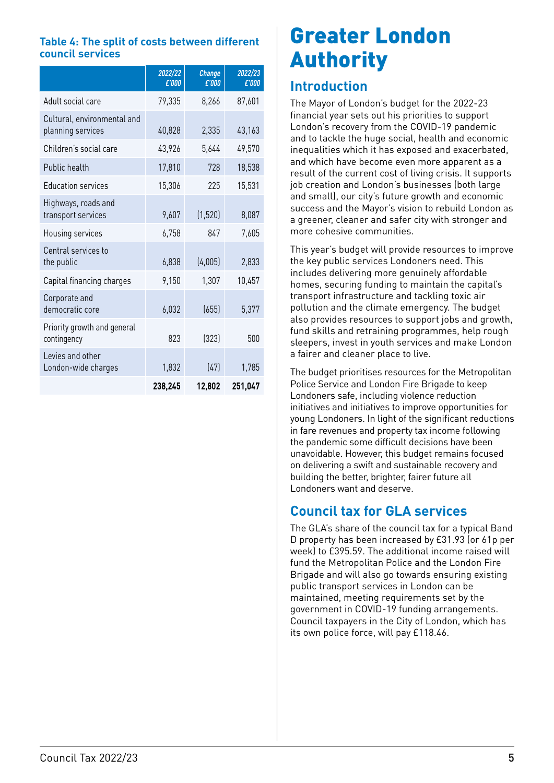#### **Table 4: The split of costs between different council services**

|                                                  | 2022/22<br>£'000 | <b>Change</b><br>£'000 | 2022/23<br>£'000 |
|--------------------------------------------------|------------------|------------------------|------------------|
| Adult social care                                | 79,335           | 8,266                  | 87,601           |
| Cultural, environmental and<br>planning services | 40,828           | 2,335                  | 43,163           |
| Children's social care                           | 43,926           | 5,644                  | 49,570           |
| Public health                                    | 17,810           | 728                    | 18,538           |
| <b>Education services</b>                        | 15,306           | 225                    | 15,531           |
| Highways, roads and<br>transport services        | 9,607            | (1, 520)               | 8,087            |
| Housing services                                 | 6,758            | 847                    | 7,605            |
| Central services to<br>the public                | 6,838            | (4,005)                | 2,833            |
| Capital financing charges                        | 9,150            | 1,307                  | 10,457           |
| Corporate and<br>democratic core                 | 6,032            | (655)                  | 5,377            |
| Priority growth and general<br>contingency       | 823              | (323)                  | 500              |
| Levies and other<br>London-wide charges          | 1,832            | (47)                   | 1,785            |
|                                                  | 238,245          | 12,802                 | 251,047          |

## Greater London Authority

### **Introduction**

The Mayor of London's budget for the 2022-23 financial year sets out his priorities to support London's recovery from the COVID-19 pandemic and to tackle the huge social, health and economic inequalities which it has exposed and exacerbated, and which have become even more apparent as a result of the current cost of living crisis. It supports job creation and London's businesses (both large and small), our city's future growth and economic success and the Mayor's vision to rebuild London as a greener, cleaner and safer city with stronger and more cohesive communities.

This year's budget will provide resources to improve the key public services Londoners need. This includes delivering more genuinely affordable homes, securing funding to maintain the capital's transport infrastructure and tackling toxic air pollution and the climate emergency. The budget also provides resources to support jobs and growth, fund skills and retraining programmes, help rough sleepers, invest in youth services and make London a fairer and cleaner place to live.

The budget prioritises resources for the Metropolitan Police Service and London Fire Brigade to keep Londoners safe, including violence reduction initiatives and initiatives to improve opportunities for young Londoners. In light of the significant reductions in fare revenues and property tax income following the pandemic some difficult decisions have been unavoidable. However, this budget remains focused on delivering a swift and sustainable recovery and building the better, brighter, fairer future all Londoners want and deserve.

## **Council tax for GLA services**

The GLA's share of the council tax for a typical Band D property has been increased by £31.93 (or 61p per week) to £395.59. The additional income raised will fund the Metropolitan Police and the London Fire Brigade and will also go towards ensuring existing public transport services in London can be maintained, meeting requirements set by the government in COVID-19 funding arrangements. Council taxpayers in the City of London, which has its own police force, will pay £118.46.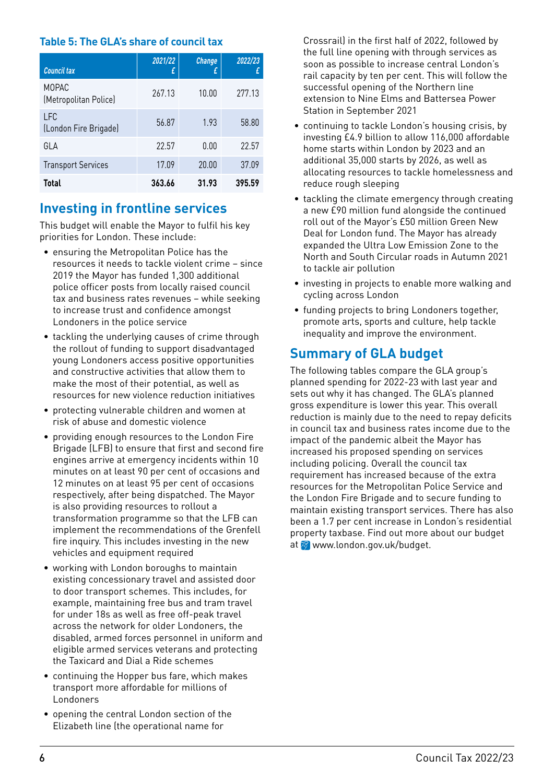#### **Table 5: The GLA's share of council tax**

| <b>Council tax</b>                    | 2021/22<br>£ | <b>Change</b><br>£ | 2022/23 |
|---------------------------------------|--------------|--------------------|---------|
| <b>MOPAC</b><br>(Metropolitan Police) | 267.13       | 10.00              | 277.13  |
| LFC<br>(London Fire Brigade)          | 56.87        | 1.93               | 58.80   |
| GLA                                   | 22.57        | 0.00               | 22.57   |
| <b>Transport Services</b>             | 17.09        | 20.00              | 37.09   |
| <b>Total</b>                          | 363.66       | 31.93              | 395.59  |

### **Investing in frontline services**

This budget will enable the Mayor to fulfil his key priorities for London. These include:

- ensuring the Metropolitan Police has the resources it needs to tackle violent crime – since 2019 the Mayor has funded 1,300 additional police officer posts from locally raised council tax and business rates revenues – while seeking to increase trust and confidence amongst Londoners in the police service
- tackling the underlying causes of crime through the rollout of funding to support disadvantaged young Londoners access positive opportunities and constructive activities that allow them to make the most of their potential, as well as resources for new violence reduction initiatives
- protecting vulnerable children and women at risk of abuse and domestic violence
- providing enough resources to the London Fire Brigade (LFB) to ensure that first and second fire engines arrive at emergency incidents within 10 minutes on at least 90 per cent of occasions and 12 minutes on at least 95 per cent of occasions respectively, after being dispatched. The Mayor is also providing resources to rollout a transformation programme so that the LFB can implement the recommendations of the Grenfell fire inquiry. This includes investing in the new vehicles and equipment required
- working with London boroughs to maintain existing concessionary travel and assisted door to door transport schemes. This includes, for example, maintaining free bus and tram travel for under 18s as well as free off-peak travel across the network for older Londoners, the disabled, armed forces personnel in uniform and eligible armed services veterans and protecting the Taxicard and Dial a Ride schemes
- continuing the Hopper bus fare, which makes transport more affordable for millions of Londoners
- opening the central London section of the Elizabeth line (the operational name for

Crossrail) in the first half of 2022, followed by the full line opening with through services as soon as possible to increase central London's rail capacity by ten per cent. This will follow the successful opening of the Northern line extension to Nine Elms and Battersea Power Station in September 2021

- continuing to tackle London's housing crisis, by investing £4.9 billion to allow 116,000 affordable home starts within London by 2023 and an additional 35,000 starts by 2026, as well as allocating resources to tackle homelessness and reduce rough sleeping
- tackling the climate emergency through creating a new £90 million fund alongside the continued roll out of the Mayor's £50 million Green New Deal for London fund. The Mayor has already expanded the Ultra Low Emission Zone to the North and South Circular roads in Autumn 2021 to tackle air pollution
- investing in projects to enable more walking and cycling across London
- funding projects to bring Londoners together, promote arts, sports and culture, help tackle inequality and improve the environment.

## **Summary of GLA budget**

The following tables compare the GLA group's planned spending for 2022-23 with last year and sets out why it has changed. The GLA's planned gross expenditure is lower this year. This overall reduction is mainly due to the need to repay deficits in council tax and business rates income due to the impact of the pandemic albeit the Mayor has increased his proposed spending on services including policing. Overall the council tax requirement has increased because of the extra resources for the Metropolitan Police Service and the London Fire Brigade and to secure funding to maintain existing transport services. There has also been a 1.7 per cent increase in London's residential property taxbase. Find out more about our budget at <sup>o</sup> www.london.gov.uk/budget.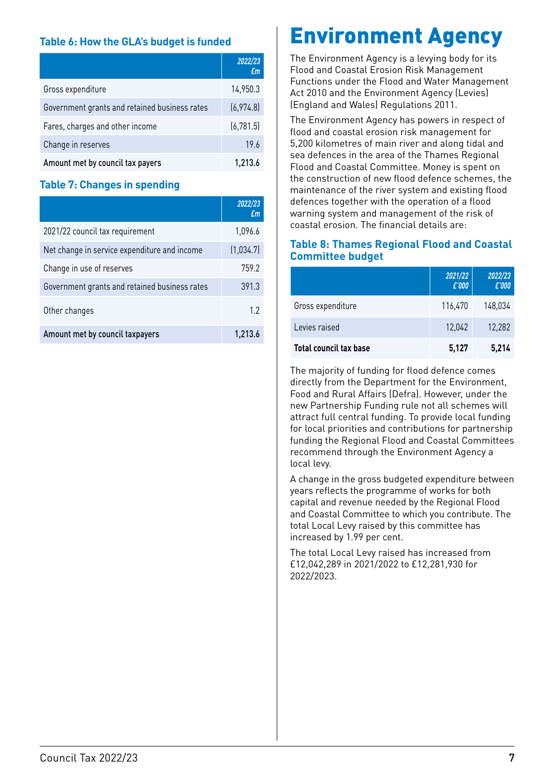#### **Table 6: How the GLA's budget is funded**

|                                               | 2022/23<br>Em |
|-----------------------------------------------|---------------|
| Gross expenditure                             | 14,950.3      |
| Government grants and retained business rates | (6,974.8)     |
| Fares, charges and other income               | (6, 781.5)    |
| Change in reserves                            | 19.6          |
| Amount met by council tax payers              | 1,213.6       |

#### **Table 7: Changes in spending**

|                                               | 2022/23<br>£m |
|-----------------------------------------------|---------------|
| 2021/22 council tax requirement               | 1,096.6       |
| Net change in service expenditure and income  | (1,034.7)     |
| Change in use of reserves                     | 759.2         |
| Government grants and retained business rates | 391.3         |
| Other changes                                 | 12            |
| Amount met by council taxpayers               | 1.213.6       |

## Environment Agency

The Environment Agency is a levying body for its Flood and Coastal Erosion Risk Management Functions under the Flood and Water Management Act 2010 and the Environment Agency (Levies) (England and Wales) Regulations 2011.

The Environment Agency has powers in respect of flood and coastal erosion risk management for 5,200 kilometres of main river and along tidal and sea defences in the area of the Thames Regional Flood and Coastal Committee. Money is spent on the construction of new flood defence schemes, the maintenance of the river system and existing flood defences together with the operation of a flood warning system and management of the risk of coastal erosion. The financial details are:

#### **Table 8: Thames Regional Flood and Coastal Committee budget**

|                               | 2021/22<br>£'000 | 2022/23<br>£'000 |
|-------------------------------|------------------|------------------|
| Gross expenditure             | 116.470          | 148,034          |
| Levies raised                 | 12,042           | 12,282           |
| <b>Total council tax base</b> | 5,127            | 5.214            |

The majority of funding for flood defence comes directly from the Department for the Environment, Food and Rural Affairs (Defra). However, under the new Partnership Funding rule not all schemes will attract full central funding. To provide local funding for local priorities and contributions for partnership funding the Regional Flood and Coastal Committees recommend through the Environment Agency a local levy.

A change in the gross budgeted expenditure between years reflects the programme of works for both capital and revenue needed by the Regional Flood and Coastal Committee to which you contribute. The total Local Levy raised by this committee has increased by 1.99 per cent.

The total Local Levy raised has increased from £12,042,289 in 2021/2022 to £12,281,930 for 2022/2023.